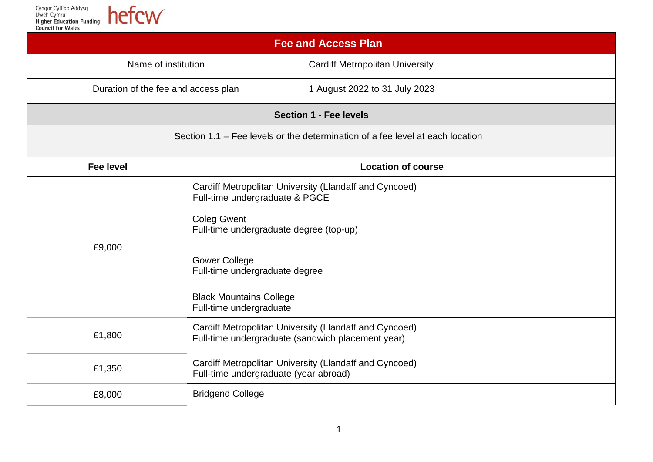Cyngor Cyllido Addysg<br>Uwch Cymru<br>**Higher Education Funding**<br>**Council for Wales** 

| <b>Fee and Access Plan</b>                                                    |                                                                                                                                                                                                                                                                                  |                                        |  |  |
|-------------------------------------------------------------------------------|----------------------------------------------------------------------------------------------------------------------------------------------------------------------------------------------------------------------------------------------------------------------------------|----------------------------------------|--|--|
| Name of institution                                                           |                                                                                                                                                                                                                                                                                  | <b>Cardiff Metropolitan University</b> |  |  |
| Duration of the fee and access plan                                           |                                                                                                                                                                                                                                                                                  | 1 August 2022 to 31 July 2023          |  |  |
| <b>Section 1 - Fee levels</b>                                                 |                                                                                                                                                                                                                                                                                  |                                        |  |  |
| Section 1.1 – Fee levels or the determination of a fee level at each location |                                                                                                                                                                                                                                                                                  |                                        |  |  |
| <b>Fee level</b>                                                              |                                                                                                                                                                                                                                                                                  | <b>Location of course</b>              |  |  |
| £9,000                                                                        | Cardiff Metropolitan University (Llandaff and Cyncoed)<br>Full-time undergraduate & PGCE<br><b>Coleg Gwent</b><br>Full-time undergraduate degree (top-up)<br><b>Gower College</b><br>Full-time undergraduate degree<br><b>Black Mountains College</b><br>Full-time undergraduate |                                        |  |  |
| £1,800                                                                        | Cardiff Metropolitan University (Llandaff and Cyncoed)<br>Full-time undergraduate (sandwich placement year)                                                                                                                                                                      |                                        |  |  |
| £1,350                                                                        | Cardiff Metropolitan University (Llandaff and Cyncoed)<br>Full-time undergraduate (year abroad)                                                                                                                                                                                  |                                        |  |  |
| £8,000                                                                        | <b>Bridgend College</b>                                                                                                                                                                                                                                                          |                                        |  |  |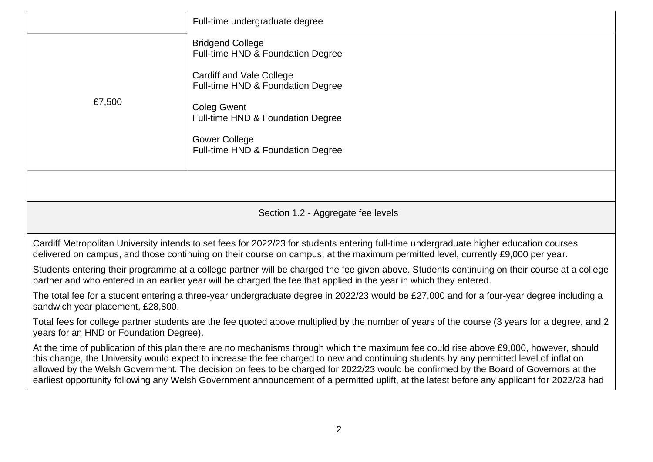|                                                                                                                                                                                                                                                                                                                                                                                                                                                                                                                                                                        | Full-time undergraduate degree                                       |  |
|------------------------------------------------------------------------------------------------------------------------------------------------------------------------------------------------------------------------------------------------------------------------------------------------------------------------------------------------------------------------------------------------------------------------------------------------------------------------------------------------------------------------------------------------------------------------|----------------------------------------------------------------------|--|
| £7,500                                                                                                                                                                                                                                                                                                                                                                                                                                                                                                                                                                 | <b>Bridgend College</b><br>Full-time HND & Foundation Degree         |  |
|                                                                                                                                                                                                                                                                                                                                                                                                                                                                                                                                                                        | <b>Cardiff and Vale College</b><br>Full-time HND & Foundation Degree |  |
|                                                                                                                                                                                                                                                                                                                                                                                                                                                                                                                                                                        | <b>Coleg Gwent</b><br>Full-time HND & Foundation Degree              |  |
|                                                                                                                                                                                                                                                                                                                                                                                                                                                                                                                                                                        | <b>Gower College</b><br>Full-time HND & Foundation Degree            |  |
|                                                                                                                                                                                                                                                                                                                                                                                                                                                                                                                                                                        |                                                                      |  |
| Section 1.2 - Aggregate fee levels                                                                                                                                                                                                                                                                                                                                                                                                                                                                                                                                     |                                                                      |  |
| Cardiff Metropolitan University intends to set fees for 2022/23 for students entering full-time undergraduate higher education courses<br>delivered on campus, and those continuing on their course on campus, at the maximum permitted level, currently £9,000 per year.                                                                                                                                                                                                                                                                                              |                                                                      |  |
| Students entering their programme at a college partner will be charged the fee given above. Students continuing on their course at a college<br>partner and who entered in an earlier year will be charged the fee that applied in the year in which they entered.                                                                                                                                                                                                                                                                                                     |                                                                      |  |
| The total fee for a student entering a three-year undergraduate degree in 2022/23 would be £27,000 and for a four-year degree including a<br>sandwich year placement, £28,800.                                                                                                                                                                                                                                                                                                                                                                                         |                                                                      |  |
| Total fees for college partner students are the fee quoted above multiplied by the number of years of the course (3 years for a degree, and 2<br>years for an HND or Foundation Degree).                                                                                                                                                                                                                                                                                                                                                                               |                                                                      |  |
| At the time of publication of this plan there are no mechanisms through which the maximum fee could rise above £9,000, however, should<br>this change, the University would expect to increase the fee charged to new and continuing students by any permitted level of inflation<br>allowed by the Welsh Government. The decision on fees to be charged for 2022/23 would be confirmed by the Board of Governors at the<br>earliest opportunity following any Welsh Government announcement of a permitted uplift, at the latest before any applicant for 2022/23 had |                                                                      |  |
|                                                                                                                                                                                                                                                                                                                                                                                                                                                                                                                                                                        |                                                                      |  |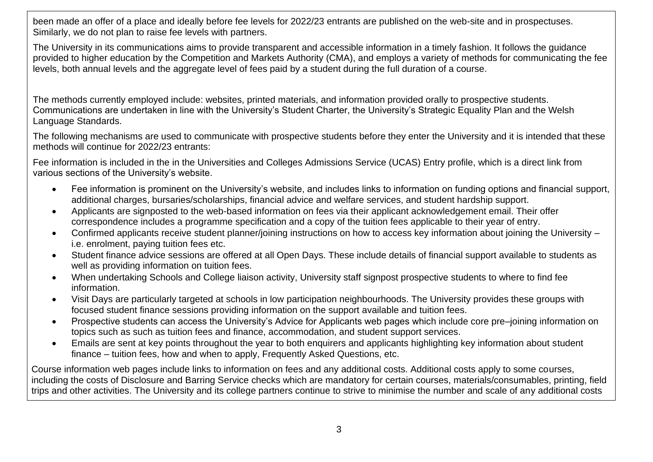been made an offer of a place and ideally before fee levels for 2022/23 entrants are published on the web-site and in prospectuses. Similarly, we do not plan to raise fee levels with partners.

The University in its communications aims to provide transparent and accessible information in a timely fashion. It follows the guidance provided to higher education by the Competition and Markets Authority (CMA), and employs a variety of methods for communicating the fee levels, both annual levels and the aggregate level of fees paid by a student during the full duration of a course.

The methods currently employed include: websites, printed materials, and information provided orally to prospective students. Communications are undertaken in line with the University's Student Charter, the University's Strategic Equality Plan and the Welsh Language Standards.

The following mechanisms are used to communicate with prospective students before they enter the University and it is intended that these methods will continue for 2022/23 entrants:

Fee information is included in the in the Universities and Colleges Admissions Service (UCAS) Entry profile, which is a direct link from various sections of the University's website.

- Fee information is prominent on the University's website, and includes links to information on funding options and financial support, additional charges, bursaries/scholarships, financial advice and welfare services, and student hardship support.
- Applicants are signposted to the web-based information on fees via their applicant acknowledgement email. Their offer correspondence includes a programme specification and a copy of the tuition fees applicable to their year of entry.
- Confirmed applicants receive student planner/joining instructions on how to access key information about joining the University i.e. enrolment, paying tuition fees etc.
- Student finance advice sessions are offered at all Open Days. These include details of financial support available to students as well as providing information on tuition fees.
- When undertaking Schools and College liaison activity, University staff signpost prospective students to where to find fee information.
- Visit Days are particularly targeted at schools in low participation neighbourhoods. The University provides these groups with focused student finance sessions providing information on the support available and tuition fees.
- Prospective students can access the University's Advice for Applicants web pages which include core pre–joining information on topics such as such as tuition fees and finance, accommodation, and student support services.
- Emails are sent at key points throughout the year to both enquirers and applicants highlighting key information about student finance – tuition fees, how and when to apply, Frequently Asked Questions, etc.

Course information web pages include links to information on fees and any additional costs. Additional costs apply to some courses, including the costs of Disclosure and Barring Service checks which are mandatory for certain courses, materials/consumables, printing, field trips and other activities. The University and its college partners continue to strive to minimise the number and scale of any additional costs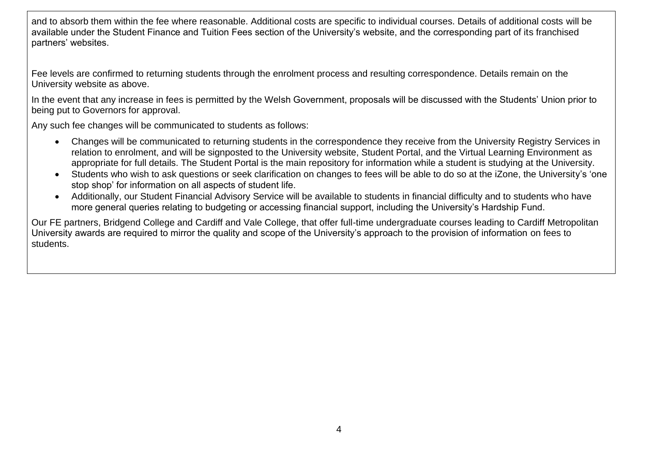and to absorb them within the fee where reasonable. Additional costs are specific to individual courses. Details of additional costs will be available under the Student Finance and Tuition Fees section of the University's website, and the corresponding part of its franchised partners' websites.

Fee levels are confirmed to returning students through the enrolment process and resulting correspondence. Details remain on the University website as above.

In the event that any increase in fees is permitted by the Welsh Government, proposals will be discussed with the Students' Union prior to being put to Governors for approval.

Any such fee changes will be communicated to students as follows:

- Changes will be communicated to returning students in the correspondence they receive from the University Registry Services in relation to enrolment, and will be signposted to the University website, Student Portal, and the Virtual Learning Environment as appropriate for full details. The Student Portal is the main repository for information while a student is studying at the University.
- Students who wish to ask questions or seek clarification on changes to fees will be able to do so at the iZone, the University's 'one stop shop' for information on all aspects of student life.
- Additionally, our Student Financial Advisory Service will be available to students in financial difficulty and to students who have more general queries relating to budgeting or accessing financial support, including the University's Hardship Fund.

Our FE partners, Bridgend College and Cardiff and Vale College, that offer full-time undergraduate courses leading to Cardiff Metropolitan University awards are required to mirror the quality and scope of the University's approach to the provision of information on fees to students.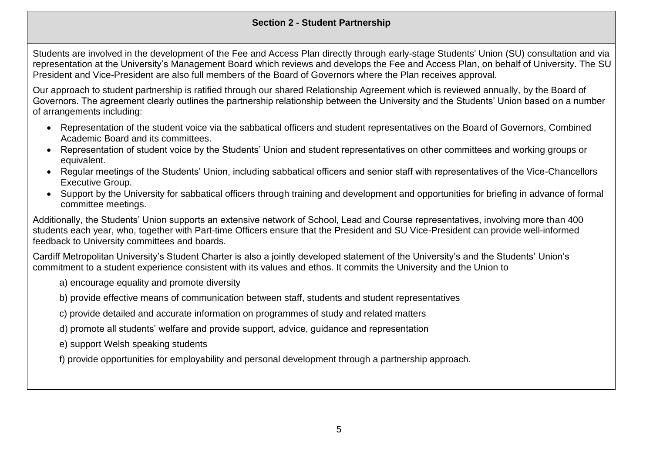## **Section 2 - Student Partnership**

Students are involved in the development of the Fee and Access Plan directly through early-stage Students' Union (SU) consultation and via representation at the University's Management Board which reviews and develops the Fee and Access Plan, on behalf of University. The SU President and Vice-President are also full members of the Board of Governors where the Plan receives approval.

Our approach to student partnership is ratified through our shared Relationship Agreement which is reviewed annually, by the Board of Governors. The agreement clearly outlines the partnership relationship between the University and the Students' Union based on a number of arrangements including:

- Representation of the student voice via the sabbatical officers and student representatives on the Board of Governors, Combined Academic Board and its committees.
- Representation of student voice by the Students' Union and student representatives on other committees and working groups or equivalent.
- Regular meetings of the Students' Union, including sabbatical officers and senior staff with representatives of the Vice-Chancellors Executive Group.
- Support by the University for sabbatical officers through training and development and opportunities for briefing in advance of formal committee meetings.

Additionally, the Students' Union supports an extensive network of School, Lead and Course representatives, involving more than 400 students each year, who, together with Part-time Officers ensure that the President and SU Vice-President can provide well-informed feedback to University committees and boards.

Cardiff Metropolitan University's Student Charter is also a jointly developed statement of the University's and the Students' Union's commitment to a student experience consistent with its values and ethos. It commits the University and the Union to

- a) encourage equality and promote diversity
- b) provide effective means of communication between staff, students and student representatives
- c) provide detailed and accurate information on programmes of study and related matters
- d) promote all students' welfare and provide support, advice, guidance and representation
- e) support Welsh speaking students
- f) provide opportunities for employability and personal development through a partnership approach.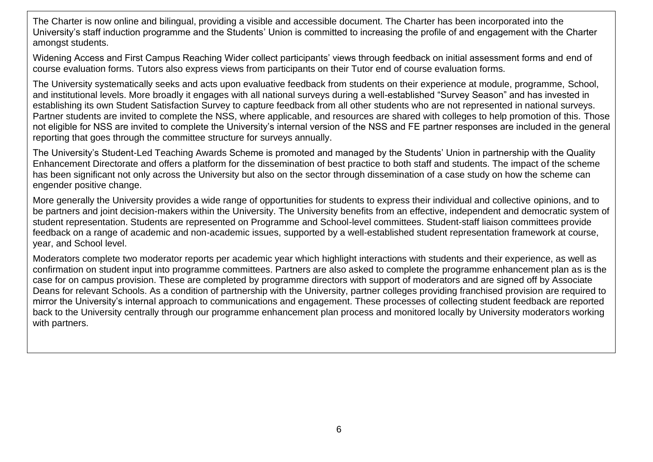The Charter is now online and bilingual, providing a visible and accessible document. The Charter has been incorporated into the University's staff induction programme and the Students' Union is committed to increasing the profile of and engagement with the Charter amongst students.

Widening Access and First Campus Reaching Wider collect participants' views through feedback on initial assessment forms and end of course evaluation forms. Tutors also express views from participants on their Tutor end of course evaluation forms.

The University systematically seeks and acts upon evaluative feedback from students on their experience at module, programme, School, and institutional levels. More broadly it engages with all national surveys during a well-established "Survey Season" and has invested in establishing its own Student Satisfaction Survey to capture feedback from all other students who are not represented in national surveys. Partner students are invited to complete the NSS, where applicable, and resources are shared with colleges to help promotion of this. Those not eligible for NSS are invited to complete the University's internal version of the NSS and FE partner responses are included in the general reporting that goes through the committee structure for surveys annually.

The University's Student-Led Teaching Awards Scheme is promoted and managed by the Students' Union in partnership with the Quality Enhancement Directorate and offers a platform for the dissemination of best practice to both staff and students. The impact of the scheme has been significant not only across the University but also on the sector through dissemination of a case study on how the scheme can engender positive change.

More generally the University provides a wide range of opportunities for students to express their individual and collective opinions, and to be partners and joint decision-makers within the University. The University benefits from an effective, independent and democratic system of student representation. Students are represented on Programme and School-level committees. Student-staff liaison committees provide feedback on a range of academic and non-academic issues, supported by a well-established student representation framework at course, year, and School level.

Moderators complete two moderator reports per academic year which highlight interactions with students and their experience, as well as confirmation on student input into programme committees. Partners are also asked to complete the programme enhancement plan as is the case for on campus provision. These are completed by programme directors with support of moderators and are signed off by Associate Deans for relevant Schools. As a condition of partnership with the University, partner colleges providing franchised provision are required to mirror the University's internal approach to communications and engagement. These processes of collecting student feedback are reported back to the University centrally through our programme enhancement plan process and monitored locally by University moderators working with partners.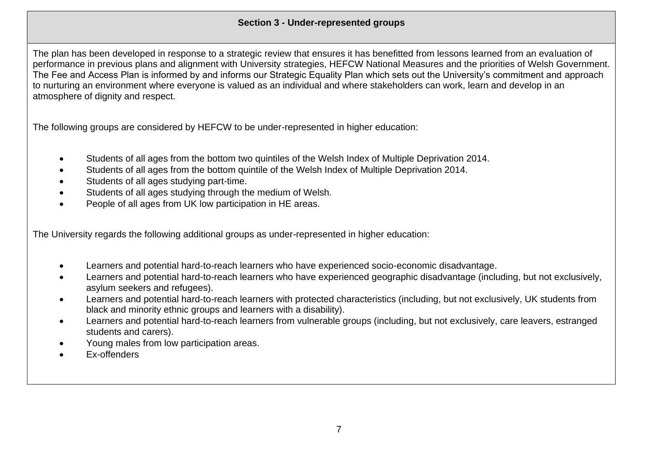The plan has been developed in response to a strategic review that ensures it has benefitted from lessons learned from an evaluation of performance in previous plans and alignment with University strategies, HEFCW National Measures and the priorities of Welsh Government. The Fee and Access Plan is informed by and informs our Strategic Equality Plan which sets out the University's commitment and approach to nurturing an environment where everyone is valued as an individual and where stakeholders can work, learn and develop in an atmosphere of dignity and respect.

The following groups are considered by HEFCW to be under-represented in higher education:

- Students of all ages from the bottom two quintiles of the Welsh Index of Multiple Deprivation 2014.
- Students of all ages from the bottom quintile of the Welsh Index of Multiple Deprivation 2014.
- Students of all ages studying part-time.
- Students of all ages studying through the medium of Welsh.
- People of all ages from UK low participation in HE areas.

The University regards the following additional groups as under-represented in higher education:

- Learners and potential hard-to-reach learners who have experienced socio-economic disadvantage.
- Learners and potential hard-to-reach learners who have experienced geographic disadvantage (including, but not exclusively, asylum seekers and refugees).
- Learners and potential hard-to-reach learners with protected characteristics (including, but not exclusively, UK students from black and minority ethnic groups and learners with a disability).
- Learners and potential hard-to-reach learners from vulnerable groups (including, but not exclusively, care leavers, estranged students and carers).
- Young males from low participation areas.
- Ex-offenders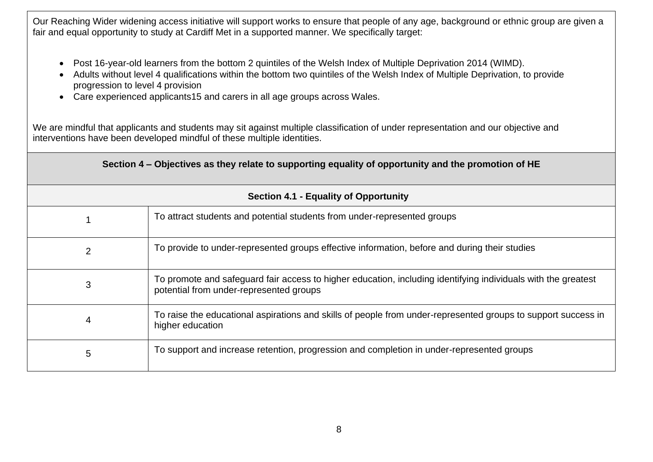Our Reaching Wider widening access initiative will support works to ensure that people of any age, background or ethnic group are given a fair and equal opportunity to study at Cardiff Met in a supported manner. We specifically target:

- Post 16-year-old learners from the bottom 2 quintiles of the Welsh Index of Multiple Deprivation 2014 (WIMD).
- Adults without level 4 qualifications within the bottom two quintiles of the Welsh Index of Multiple Deprivation, to provide progression to level 4 provision
- Care experienced applicants15 and carers in all age groups across Wales.

We are mindful that applicants and students may sit against multiple classification of under representation and our objective and interventions have been developed mindful of these multiple identities.

| Section 4 – Objectives as they relate to supporting equality of opportunity and the promotion of HE |                                                                                                                                                          |  |  |
|-----------------------------------------------------------------------------------------------------|----------------------------------------------------------------------------------------------------------------------------------------------------------|--|--|
| <b>Section 4.1 - Equality of Opportunity</b>                                                        |                                                                                                                                                          |  |  |
|                                                                                                     | To attract students and potential students from under-represented groups                                                                                 |  |  |
| 2                                                                                                   | To provide to under-represented groups effective information, before and during their studies                                                            |  |  |
| 3                                                                                                   | To promote and safeguard fair access to higher education, including identifying individuals with the greatest<br>potential from under-represented groups |  |  |
| 4                                                                                                   | To raise the educational aspirations and skills of people from under-represented groups to support success in<br>higher education                        |  |  |
| 5                                                                                                   | To support and increase retention, progression and completion in under-represented groups                                                                |  |  |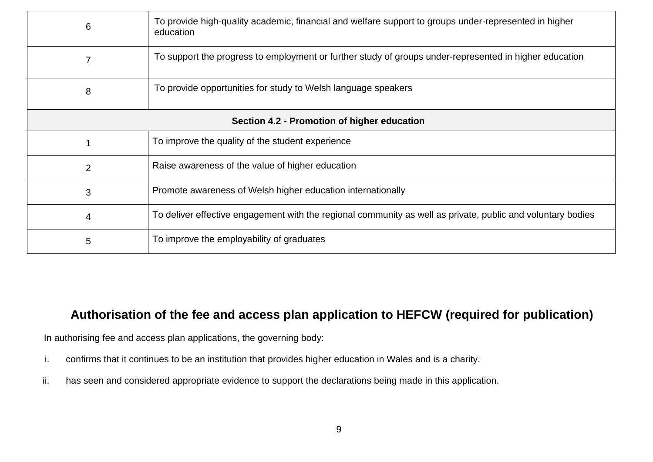| 6                                           | To provide high-quality academic, financial and welfare support to groups under-represented in higher<br>education |  |
|---------------------------------------------|--------------------------------------------------------------------------------------------------------------------|--|
|                                             | To support the progress to employment or further study of groups under-represented in higher education             |  |
| 8                                           | To provide opportunities for study to Welsh language speakers                                                      |  |
| Section 4.2 - Promotion of higher education |                                                                                                                    |  |
|                                             | To improve the quality of the student experience                                                                   |  |
| $\overline{2}$                              | Raise awareness of the value of higher education                                                                   |  |
| 3                                           | Promote awareness of Welsh higher education internationally                                                        |  |
| 4                                           | To deliver effective engagement with the regional community as well as private, public and voluntary bodies        |  |
| 5                                           | To improve the employability of graduates                                                                          |  |

## **Authorisation of the fee and access plan application to HEFCW (required for publication)**

In authorising fee and access plan applications, the governing body:

- i. confirms that it continues to be an institution that provides higher education in Wales and is a charity.
- ii. has seen and considered appropriate evidence to support the declarations being made in this application.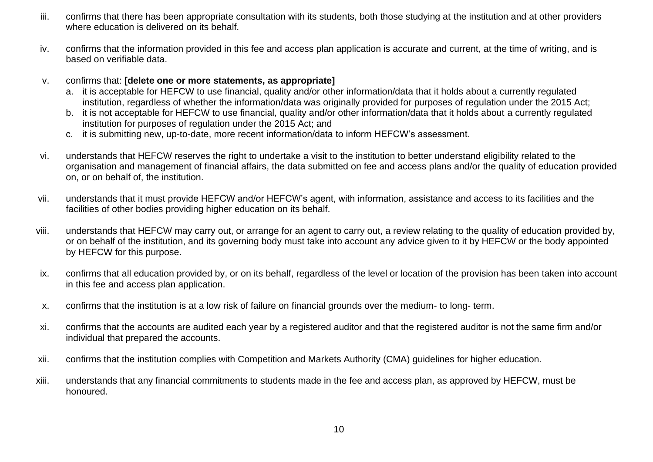- iii. confirms that there has been appropriate consultation with its students, both those studying at the institution and at other providers where education is delivered on its behalf.
- iv. confirms that the information provided in this fee and access plan application is accurate and current, at the time of writing, and is based on verifiable data.
- v. confirms that: **[delete one or more statements, as appropriate]** 
	- a. it is acceptable for HEFCW to use financial, quality and/or other information/data that it holds about a currently regulated institution, regardless of whether the information/data was originally provided for purposes of regulation under the 2015 Act;
	- b. it is not acceptable for HEFCW to use financial, quality and/or other information/data that it holds about a currently regulated institution for purposes of regulation under the 2015 Act; and
	- c. it is submitting new, up-to-date, more recent information/data to inform HEFCW's assessment.
- vi. understands that HEFCW reserves the right to undertake a visit to the institution to better understand eligibility related to the organisation and management of financial affairs, the data submitted on fee and access plans and/or the quality of education provided on, or on behalf of, the institution.
- vii. understands that it must provide HEFCW and/or HEFCW's agent, with information, assistance and access to its facilities and the facilities of other bodies providing higher education on its behalf.
- viii. understands that HEFCW may carry out, or arrange for an agent to carry out, a review relating to the quality of education provided by, or on behalf of the institution, and its governing body must take into account any advice given to it by HEFCW or the body appointed by HEFCW for this purpose.
- ix. confirms that all education provided by, or on its behalf, regardless of the level or location of the provision has been taken into account in this fee and access plan application.
- x. confirms that the institution is at a low risk of failure on financial grounds over the medium- to long- term.
- xi. confirms that the accounts are audited each year by a registered auditor and that the registered auditor is not the same firm and/or individual that prepared the accounts.
- xii. confirms that the institution complies with Competition and Markets Authority (CMA) guidelines for higher education.
- xiii. understands that any financial commitments to students made in the fee and access plan, as approved by HEFCW, must be honoured.